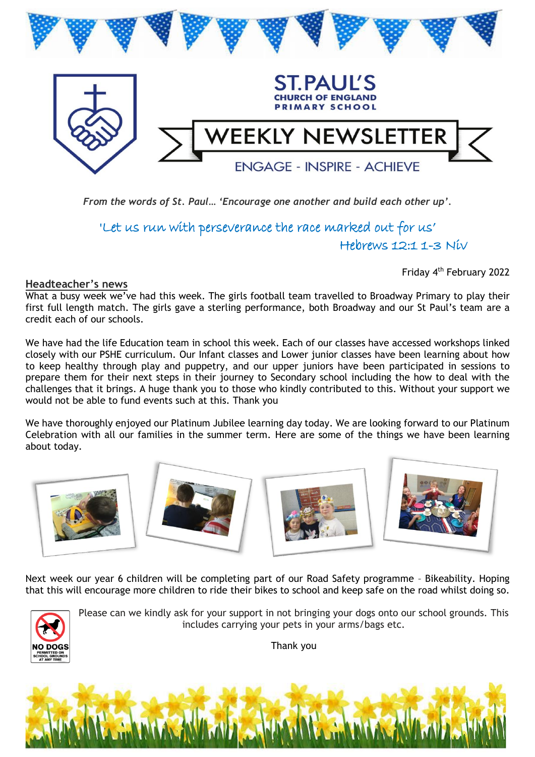

*From the words of St. Paul… 'Encourage one another and build each other up'.* 

'Let us run with perseverance the race marked out for us' Hebrews 12:1 1-3 Niv

Friday 4<sup>th</sup> February 2022

**Headteacher's news**

What a busy week we've had this week. The girls football team travelled to Broadway Primary to play their first full length match. The girls gave a sterling performance, both Broadway and our St Paul's team are a credit each of our schools.

We have had the life Education team in school this week. Each of our classes have accessed workshops linked closely with our PSHE curriculum. Our Infant classes and Lower junior classes have been learning about how to keep healthy through play and puppetry, and our upper juniors have been participated in sessions to prepare them for their next steps in their journey to Secondary school including the how to deal with the challenges that it brings. A huge thank you to those who kindly contributed to this. Without your support we would not be able to fund events such at this. Thank you

We have thoroughly enjoyed our Platinum Jubilee learning day today. We are looking forward to our Platinum Celebration with all our families in the summer term. Here are some of the things we have been learning about today.



Next week our year 6 children will be completing part of our Road Safety programme – Bikeability. Hoping that this will encourage more children to ride their bikes to school and keep safe on the road whilst doing so.



Please can we kindly ask for your support in not bringing your dogs onto our school grounds. This includes carrying your pets in your arms/bags etc.

Thank you

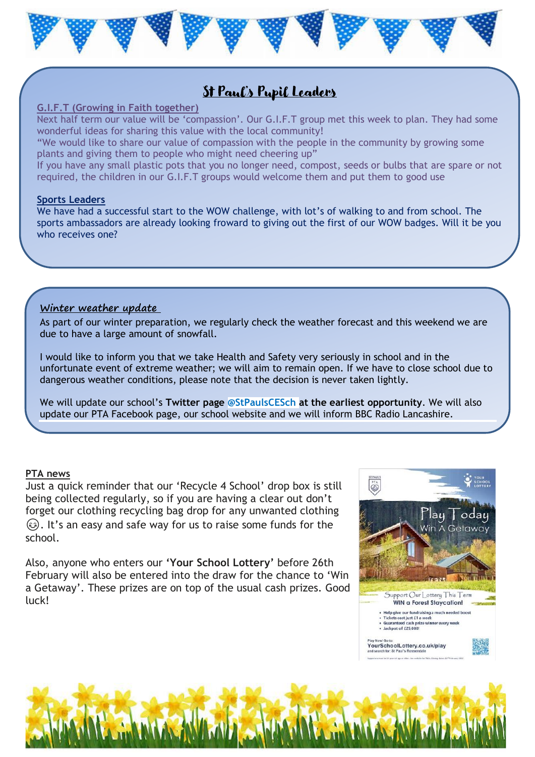

### St Paul's Pupil Leaders

#### **G.I.F.T (Growing in Faith together)**

Next half term our value will be 'compassion'. Our G.I.F.T group met this week to plan. They had some wonderful ideas for sharing this value with the local community!

"We would like to share our value of compassion with the people in the community by growing some plants and giving them to people who might need cheering up"

If you have any small plastic pots that you no longer need, compost, seeds or bulbs that are spare or not required, the children in our G.I.F.T groups would welcome them and put them to good use

#### **Sports Leaders**

We have had a successful start to the WOW challenge, with lot's of walking to and from school. The sports ambassadors are already looking froward to giving out the first of our WOW badges. Will it be you who receives one?

#### **Winter weather update**

As part of our winter preparation, we regularly check the weather forecast and this weekend we are due to have a large amount of snowfall.

I would like to inform you that we take Health and Safety very seriously in school and in the unfortunate event of extreme weather; we will aim to remain open. If we have to close school due to dangerous weather conditions, please note that the decision is never taken lightly.

We will update our school's **Twitter page @StPaulsCESch at the earliest opportunity**. We will also update our PTA Facebook page, our school website and we will inform BBC Radio Lancashire.

#### **PTA news**

Just a quick reminder that our 'Recycle 4 School' drop box is still being collected regularly, so if you are having a clear out don't forget our clothing recycling bag drop for any unwanted clothing . It's an easy and safe way for us to raise some funds for the school.

Also, anyone who enters our **'Your School Lottery'** before 26th February will also be entered into the draw for the chance to 'Win a Getaway'. These prizes are on top of the usual cash prizes. Good luck!



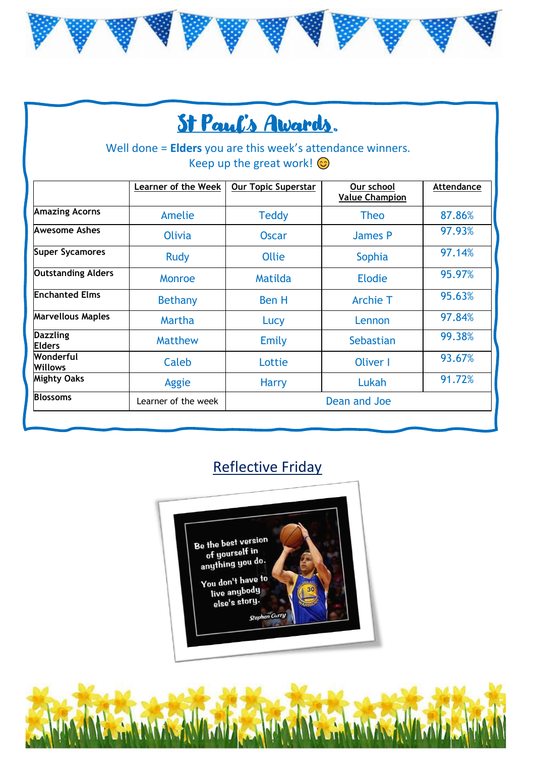

# St Paul's Awards.

Well done = **Elders** you are this week's attendance winners. Keep up the great work!  $\odot$ 

|                                  | <b>Learner of the Week</b> | <b>Our Topic Superstar</b> | Our school<br><b>Value Champion</b> | Attendance |
|----------------------------------|----------------------------|----------------------------|-------------------------------------|------------|
| <b>Amazing Acorns</b>            | Amelie                     | <b>Teddy</b>               | <b>Theo</b>                         | 87.86%     |
| Awesome Ashes                    | <b>Olivia</b>              | <b>Oscar</b>               | James P                             | 97.93%     |
| <b>Super Sycamores</b>           | <b>Rudy</b>                | Ollie                      | Sophia                              | 97.14%     |
| <b>Outstanding Alders</b>        | Monroe                     | Matilda                    | <b>Elodie</b>                       | 95.97%     |
| <b>Enchanted Elms</b>            | <b>Bethany</b>             | <b>Ben H</b>               | <b>Archie T</b>                     | 95.63%     |
| <b>Marvellous Maples</b>         | Martha                     | Lucy                       | Lennon                              | 97.84%     |
| <b>Dazzling</b><br><b>Elders</b> | <b>Matthew</b>             | Emily                      | Sebastian                           | 99.38%     |
| Wonderful<br><b>Willows</b>      | Caleb                      | Lottie                     | Oliver I                            | 93.67%     |
| <b>Mighty Oaks</b>               | Aggie                      | <b>Harry</b>               | Lukah                               | 91.72%     |
| <b>Blossoms</b>                  | Learner of the week        |                            | Dean and Joe                        |            |

### Reflective Friday